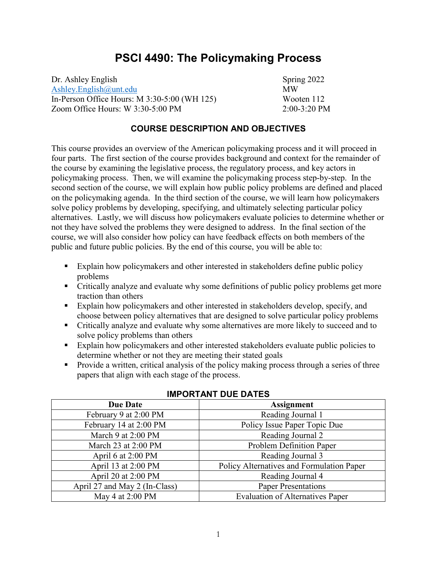# **PSCI 4490: The Policymaking Process**

Dr. Ashley English Spring 2022 [Ashley.English@unt.edu](mailto:Ashley.English@unt.edu) MW In-Person Office Hours: M 3:30-5:00 (WH 125) Wooten 112 Zoom Office Hours: W 3:30-5:00 PM 2:00-3:20 PM

### **COURSE DESCRIPTION AND OBJECTIVES**

This course provides an overview of the American policymaking process and it will proceed in four parts. The first section of the course provides background and context for the remainder of the course by examining the legislative process, the regulatory process, and key actors in policymaking process. Then, we will examine the policymaking process step-by-step. In the second section of the course, we will explain how public policy problems are defined and placed on the policymaking agenda. In the third section of the course, we will learn how policymakers solve policy problems by developing, specifying, and ultimately selecting particular policy alternatives. Lastly, we will discuss how policymakers evaluate policies to determine whether or not they have solved the problems they were designed to address. In the final section of the course, we will also consider how policy can have feedback effects on both members of the public and future public policies. By the end of this course, you will be able to:

- Explain how policymakers and other interested in stakeholders define public policy problems
- Critically analyze and evaluate why some definitions of public policy problems get more traction than others
- Explain how policymakers and other interested in stakeholders develop, specify, and choose between policy alternatives that are designed to solve particular policy problems
- Critically analyze and evaluate why some alternatives are more likely to succeed and to solve policy problems than others
- Explain how policymakers and other interested stakeholders evaluate public policies to determine whether or not they are meeting their stated goals
- **Provide a written, critical analysis of the policy making process through a series of three** papers that align with each stage of the process.

| <b>Due Date</b>               | <b>Assignment</b>                         |
|-------------------------------|-------------------------------------------|
| February 9 at 2:00 PM         | Reading Journal 1                         |
| February 14 at 2:00 PM        | Policy Issue Paper Topic Due              |
| March 9 at 2:00 PM            | Reading Journal 2                         |
| March $23$ at $2:00$ PM       | Problem Definition Paper                  |
| April 6 at $2:00 \text{ PM}$  | Reading Journal 3                         |
| April 13 at 2:00 PM           | Policy Alternatives and Formulation Paper |
| April 20 at 2:00 PM           | Reading Journal 4                         |
| April 27 and May 2 (In-Class) | <b>Paper Presentations</b>                |
| May 4 at 2:00 PM              | <b>Evaluation of Alternatives Paper</b>   |

#### **IMPORTANT DUE DATES**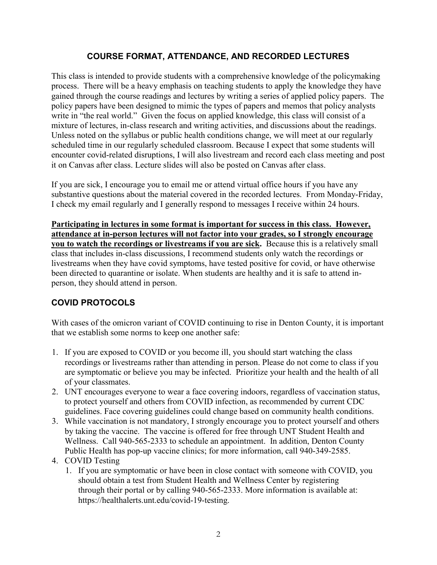# **COURSE FORMAT, ATTENDANCE, AND RECORDED LECTURES**

This class is intended to provide students with a comprehensive knowledge of the policymaking process. There will be a heavy emphasis on teaching students to apply the knowledge they have gained through the course readings and lectures by writing a series of applied policy papers. The policy papers have been designed to mimic the types of papers and memos that policy analysts write in "the real world." Given the focus on applied knowledge, this class will consist of a mixture of lectures, in-class research and writing activities, and discussions about the readings. Unless noted on the syllabus or public health conditions change, we will meet at our regularly scheduled time in our regularly scheduled classroom. Because I expect that some students will encounter covid-related disruptions, I will also livestream and record each class meeting and post it on Canvas after class. Lecture slides will also be posted on Canvas after class.

If you are sick, I encourage you to email me or attend virtual office hours if you have any substantive questions about the material covered in the recorded lectures. From Monday-Friday, I check my email regularly and I generally respond to messages I receive within 24 hours.

**Participating in lectures in some format is important for success in this class. However, attendance at in-person lectures will not factor into your grades, so I strongly encourage you to watch the recordings or livestreams if you are sick.** Because this is a relatively small class that includes in-class discussions, I recommend students only watch the recordings or livestreams when they have covid symptoms, have tested positive for covid, or have otherwise been directed to quarantine or isolate. When students are healthy and it is safe to attend inperson, they should attend in person.

# **COVID PROTOCOLS**

With cases of the omicron variant of COVID continuing to rise in Denton County, it is important that we establish some norms to keep one another safe:

- 1. If you are exposed to COVID or you become ill, you should start watching the class recordings or livestreams rather than attending in person. Please do not come to class if you are symptomatic or believe you may be infected. Prioritize your health and the health of all of your classmates.
- 2. UNT encourages everyone to wear a face covering indoors, regardless of vaccination status, to protect yourself and others from COVID infection, as recommended by current CDC guidelines. Face covering guidelines could change based on community health conditions.
- 3. While vaccination is not mandatory, I strongly encourage you to protect yourself and others by taking the vaccine. The vaccine is offered for free through UNT Student Health and Wellness. Call 940-565-2333 to schedule an appointment. In addition, Denton County Public Health has pop-up vaccine clinics; for more information, call 940-349-2585.
- 4. COVID Testing
	- 1. If you are symptomatic or have been in close contact with someone with COVID, you should obtain a test from Student Health and Wellness Center by registering through their portal or by calling 940-565-2333. More information is available at: https://healthalerts.unt.edu/covid-19-testing.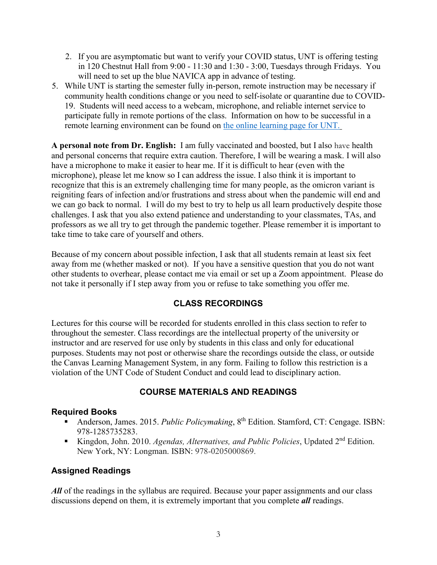- 2. If you are asymptomatic but want to verify your COVID status, UNT is offering testing in 120 Chestnut Hall from 9:00 - 11:30 and 1:30 - 3:00, Tuesdays through Fridays. You will need to set up the blue NAVICA app in advance of testing.
- 5. While UNT is starting the semester fully in-person, remote instruction may be necessary if community health conditions change or you need to self-isolate or quarantine due to COVID-19. Students will need access to a webcam, microphone, and reliable internet service to participate fully in remote portions of the class. Information on how to be successful in a remote learning environment can be found on [the online learning page for UNT.](https://online.unt.edu/learn)

**A personal note from Dr. English:** I am fully vaccinated and boosted, but I also have health and personal concerns that require extra caution. Therefore, I will be wearing a mask. I will also have a microphone to make it easier to hear me. If it is difficult to hear (even with the microphone), please let me know so I can address the issue. I also think it is important to recognize that this is an extremely challenging time for many people, as the omicron variant is reigniting fears of infection and/or frustrations and stress about when the pandemic will end and we can go back to normal. I will do my best to try to help us all learn productively despite those challenges. I ask that you also extend patience and understanding to your classmates, TAs, and professors as we all try to get through the pandemic together. Please remember it is important to take time to take care of yourself and others.

Because of my concern about possible infection, I ask that all students remain at least six feet away from me (whether masked or not). If you have a sensitive question that you do not want other students to overhear, please contact me via email or set up a Zoom appointment. Please do not take it personally if I step away from you or refuse to take something you offer me.

# **CLASS RECORDINGS**

Lectures for this course will be recorded for students enrolled in this class section to refer to throughout the semester. Class recordings are the intellectual property of the university or instructor and are reserved for use only by students in this class and only for educational purposes. Students may not post or otherwise share the recordings outside the class, or outside the Canvas Learning Management System, in any form. Failing to follow this restriction is a violation of the UNT Code of Student Conduct and could lead to disciplinary action.

# **COURSE MATERIALS AND READINGS**

### **Required Books**

- Anderson, James. 2015. *Public Policymaking*, 8<sup>th</sup> Edition. Stamford, CT: Cengage. ISBN: 978-1285735283.
- Kingdon, John. 2010. *Agendas, Alternatives, and Public Policies*, Updated 2<sup>nd</sup> Edition. New York, NY: Longman. ISBN: 978-0205000869.

# **Assigned Readings**

All of the readings in the syllabus are required. Because your paper assignments and our class discussions depend on them, it is extremely important that you complete *all* readings.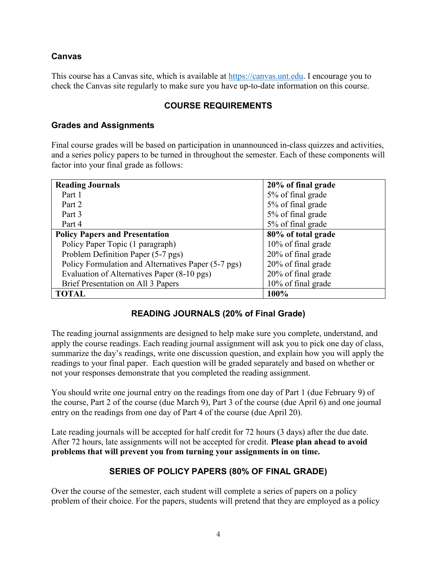### **Canvas**

This course has a Canvas site, which is available at [https://canvas.unt.edu.](https://canvas.unt.edu/) I encourage you to check the Canvas site regularly to make sure you have up-to-date information on this course.

### **COURSE REQUIREMENTS**

### **Grades and Assignments**

Final course grades will be based on participation in unannounced in-class quizzes and activities, and a series policy papers to be turned in throughout the semester. Each of these components will factor into your final grade as follows:

| <b>Reading Journals</b>                             | 20% of final grade |
|-----------------------------------------------------|--------------------|
| Part 1                                              | 5% of final grade  |
| Part 2                                              | 5% of final grade  |
| Part 3                                              | 5% of final grade  |
| Part 4                                              | 5% of final grade  |
| <b>Policy Papers and Presentation</b>               | 80% of total grade |
| Policy Paper Topic (1 paragraph)                    | 10% of final grade |
| Problem Definition Paper (5-7 pgs)                  | 20% of final grade |
| Policy Formulation and Alternatives Paper (5-7 pgs) | 20% of final grade |
| Evaluation of Alternatives Paper (8-10 pgs)         | 20% of final grade |
| Brief Presentation on All 3 Papers                  | 10% of final grade |
| <b>TOTAL</b>                                        | 100%               |

# **READING JOURNALS (20% of Final Grade)**

The reading journal assignments are designed to help make sure you complete, understand, and apply the course readings. Each reading journal assignment will ask you to pick one day of class, summarize the day's readings, write one discussion question, and explain how you will apply the readings to your final paper. Each question will be graded separately and based on whether or not your responses demonstrate that you completed the reading assignment.

You should write one journal entry on the readings from one day of Part 1 (due February 9) of the course, Part 2 of the course (due March 9), Part 3 of the course (due April 6) and one journal entry on the readings from one day of Part 4 of the course (due April 20).

Late reading journals will be accepted for half credit for 72 hours (3 days) after the due date. After 72 hours, late assignments will not be accepted for credit. **Please plan ahead to avoid problems that will prevent you from turning your assignments in on time.**

# **SERIES OF POLICY PAPERS (80% OF FINAL GRADE)**

Over the course of the semester, each student will complete a series of papers on a policy problem of their choice. For the papers, students will pretend that they are employed as a policy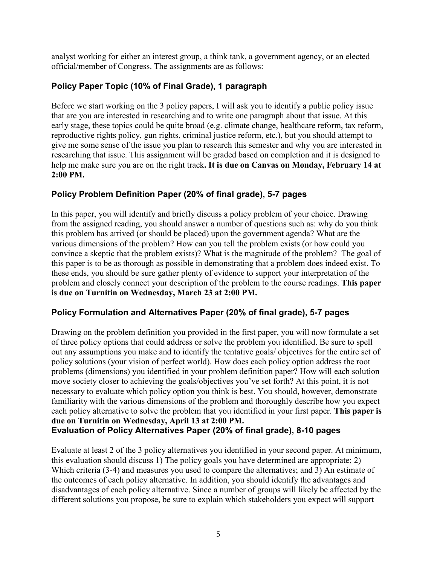analyst working for either an interest group, a think tank, a government agency, or an elected official/member of Congress. The assignments are as follows:

# **Policy Paper Topic (10% of Final Grade), 1 paragraph**

Before we start working on the 3 policy papers, I will ask you to identify a public policy issue that are you are interested in researching and to write one paragraph about that issue. At this early stage, these topics could be quite broad (e.g. climate change, healthcare reform, tax reform, reproductive rights policy, gun rights, criminal justice reform, etc.), but you should attempt to give me some sense of the issue you plan to research this semester and why you are interested in researching that issue. This assignment will be graded based on completion and it is designed to help me make sure you are on the right track**. It is due on Canvas on Monday, February 14 at 2:00 PM.**

# **Policy Problem Definition Paper (20% of final grade), 5-7 pages**

In this paper, you will identify and briefly discuss a policy problem of your choice. Drawing from the assigned reading, you should answer a number of questions such as: why do you think this problem has arrived (or should be placed) upon the government agenda? What are the various dimensions of the problem? How can you tell the problem exists (or how could you convince a skeptic that the problem exists)? What is the magnitude of the problem? The goal of this paper is to be as thorough as possible in demonstrating that a problem does indeed exist. To these ends, you should be sure gather plenty of evidence to support your interpretation of the problem and closely connect your description of the problem to the course readings. **This paper is due on Turnitin on Wednesday, March 23 at 2:00 PM.**

# **Policy Formulation and Alternatives Paper (20% of final grade), 5-7 pages**

Drawing on the problem definition you provided in the first paper, you will now formulate a set of three policy options that could address or solve the problem you identified. Be sure to spell out any assumptions you make and to identify the tentative goals/ objectives for the entire set of policy solutions (your vision of perfect world). How does each policy option address the root problems (dimensions) you identified in your problem definition paper? How will each solution move society closer to achieving the goals/objectives you've set forth? At this point, it is not necessary to evaluate which policy option you think is best. You should, however, demonstrate familiarity with the various dimensions of the problem and thoroughly describe how you expect each policy alternative to solve the problem that you identified in your first paper. **This paper is due on Turnitin on Wednesday, April 13 at 2:00 PM. Evaluation of Policy Alternatives Paper (20% of final grade), 8-10 pages**

Evaluate at least 2 of the 3 policy alternatives you identified in your second paper. At minimum, this evaluation should discuss 1) The policy goals you have determined are appropriate; 2) Which criteria (3-4) and measures you used to compare the alternatives; and 3) An estimate of the outcomes of each policy alternative. In addition, you should identify the advantages and disadvantages of each policy alternative. Since a number of groups will likely be affected by the different solutions you propose, be sure to explain which stakeholders you expect will support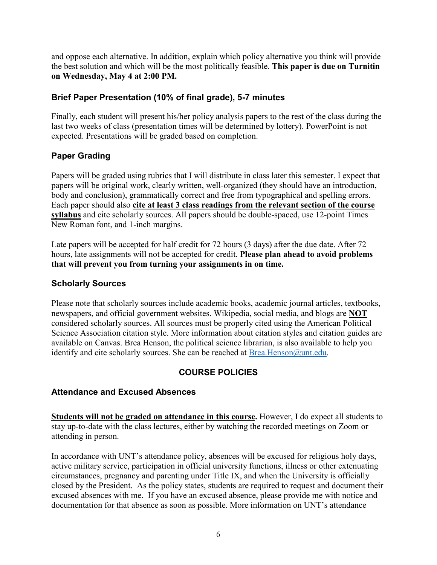and oppose each alternative. In addition, explain which policy alternative you think will provide the best solution and which will be the most politically feasible. **This paper is due on Turnitin on Wednesday, May 4 at 2:00 PM.**

# **Brief Paper Presentation (10% of final grade), 5-7 minutes**

Finally, each student will present his/her policy analysis papers to the rest of the class during the last two weeks of class (presentation times will be determined by lottery). PowerPoint is not expected. Presentations will be graded based on completion.

# **Paper Grading**

Papers will be graded using rubrics that I will distribute in class later this semester. I expect that papers will be original work, clearly written, well-organized (they should have an introduction, body and conclusion), grammatically correct and free from typographical and spelling errors. Each paper should also **cite at least 3 class readings from the relevant section of the course syllabus** and cite scholarly sources. All papers should be double-spaced, use 12-point Times New Roman font, and 1-inch margins.

Late papers will be accepted for half credit for 72 hours (3 days) after the due date. After 72 hours, late assignments will not be accepted for credit. **Please plan ahead to avoid problems that will prevent you from turning your assignments in on time.**

# **Scholarly Sources**

Please note that scholarly sources include academic books, academic journal articles, textbooks, newspapers, and official government websites. Wikipedia, social media, and blogs are **NOT**  considered scholarly sources. All sources must be properly cited using the American Political Science Association citation style. More information about citation styles and citation guides are available on Canvas. Brea Henson, the political science librarian, is also available to help you identify and cite scholarly sources. She can be reached at  $B$ rea.Henson@unt.edu.

# **COURSE POLICIES**

# **Attendance and Excused Absences**

**Students will not be graded on attendance in this course.** However, I do expect all students to stay up-to-date with the class lectures, either by watching the recorded meetings on Zoom or attending in person.

In accordance with UNT's attendance policy, absences will be excused for religious holy days, active military service, participation in official university functions, illness or other extenuating circumstances, pregnancy and parenting under Title IX, and when the University is officially closed by the President. As the policy states, students are required to request and document their excused absences with me. If you have an excused absence, please provide me with notice and documentation for that absence as soon as possible. More information on UNT's attendance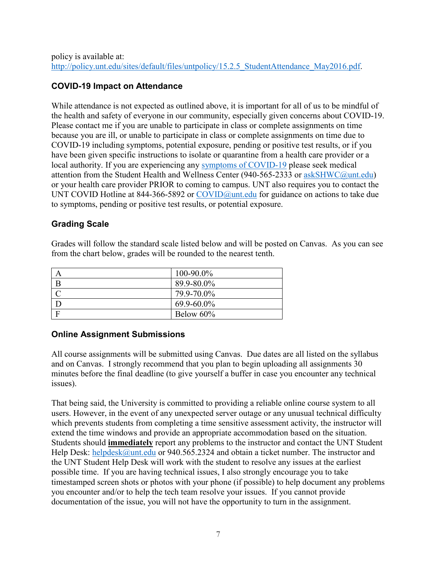# **COVID-19 Impact on Attendance**

While attendance is not expected as outlined above, it is important for all of us to be mindful of the health and safety of everyone in our community, especially given concerns about COVID-19. Please contact me if you are unable to participate in class or complete assignments on time because you are ill, or unable to participate in class or complete assignments on time due to COVID-19 including symptoms, potential exposure, pending or positive test results, or if you have been given specific instructions to isolate or quarantine from a health care provider or a local authority. If you are experiencing any [symptoms of COVID-19](https://www.cdc.gov/coronavirus/2019-ncov/symptoms-testing/symptoms.html) please seek medical attention from the Student Health and Wellness Center (940-565-2333 or [askSHWC@unt.edu\)](mailto:askSHWC@unt.edu) or your health care provider PRIOR to coming to campus. UNT also requires you to contact the UNT COVID Hotline at 844-366-5892 or [COVID@unt.edu](mailto:COVID@unt.edu) for guidance on actions to take due to symptoms, pending or positive test results, or potential exposure.

# **Grading Scale**

Grades will follow the standard scale listed below and will be posted on Canvas. As you can see from the chart below, grades will be rounded to the nearest tenth.

|   | 100-90.0%  |
|---|------------|
| B | 89.9-80.0% |
|   | 79.9-70.0% |
|   | 69.9-60.0% |
|   | Below 60%  |

# **Online Assignment Submissions**

All course assignments will be submitted using Canvas. Due dates are all listed on the syllabus and on Canvas. I strongly recommend that you plan to begin uploading all assignments 30 minutes before the final deadline (to give yourself a buffer in case you encounter any technical issues).

That being said, the University is committed to providing a reliable online course system to all users. However, in the event of any unexpected server outage or any unusual technical difficulty which prevents students from completing a time sensitive assessment activity, the instructor will extend the time windows and provide an appropriate accommodation based on the situation. Students should **immediately** report any problems to the instructor and contact the UNT Student Help Desk: [helpdesk@unt.edu](mailto:helpdesk@unt.edu) or 940.565.2324 and obtain a ticket number. The instructor and the UNT Student Help Desk will work with the student to resolve any issues at the earliest possible time. If you are having technical issues, I also strongly encourage you to take timestamped screen shots or photos with your phone (if possible) to help document any problems you encounter and/or to help the tech team resolve your issues. If you cannot provide documentation of the issue, you will not have the opportunity to turn in the assignment.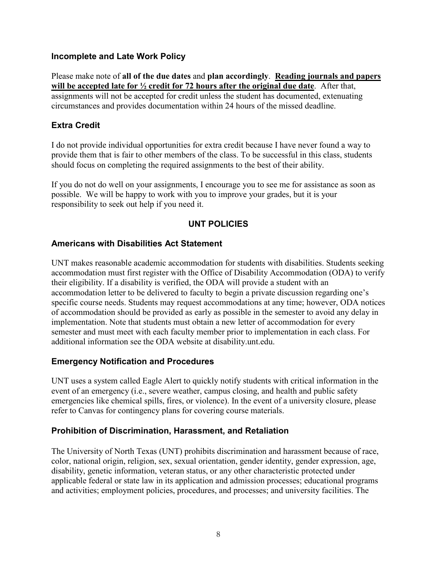### **Incomplete and Late Work Policy**

Please make note of **all of the due dates** and **plan accordingly**. **Reading journals and papers will be accepted late for ½ credit for 72 hours after the original due date**. After that, assignments will not be accepted for credit unless the student has documented, extenuating circumstances and provides documentation within 24 hours of the missed deadline.

# **Extra Credit**

I do not provide individual opportunities for extra credit because I have never found a way to provide them that is fair to other members of the class. To be successful in this class, students should focus on completing the required assignments to the best of their ability.

If you do not do well on your assignments, I encourage you to see me for assistance as soon as possible. We will be happy to work with you to improve your grades, but it is your responsibility to seek out help if you need it.

# **UNT POLICIES**

# **Americans with Disabilities Act Statement**

UNT makes reasonable academic accommodation for students with disabilities. Students seeking accommodation must first register with the Office of Disability Accommodation (ODA) to verify their eligibility. If a disability is verified, the ODA will provide a student with an accommodation letter to be delivered to faculty to begin a private discussion regarding one's specific course needs. Students may request accommodations at any time; however, ODA notices of accommodation should be provided as early as possible in the semester to avoid any delay in implementation. Note that students must obtain a new letter of accommodation for every semester and must meet with each faculty member prior to implementation in each class. For additional information see the ODA website at disability.unt.edu.

# **Emergency Notification and Procedures**

UNT uses a system called Eagle Alert to quickly notify students with critical information in the event of an emergency (i.e., severe weather, campus closing, and health and public safety emergencies like chemical spills, fires, or violence). In the event of a university closure, please refer to Canvas for contingency plans for covering course materials.

# **Prohibition of Discrimination, Harassment, and Retaliation**

The University of North Texas (UNT) prohibits discrimination and harassment because of race, color, national origin, religion, sex, sexual orientation, gender identity, gender expression, age, disability, genetic information, veteran status, or any other characteristic protected under applicable federal or state law in its application and admission processes; educational programs and activities; employment policies, procedures, and processes; and university facilities. The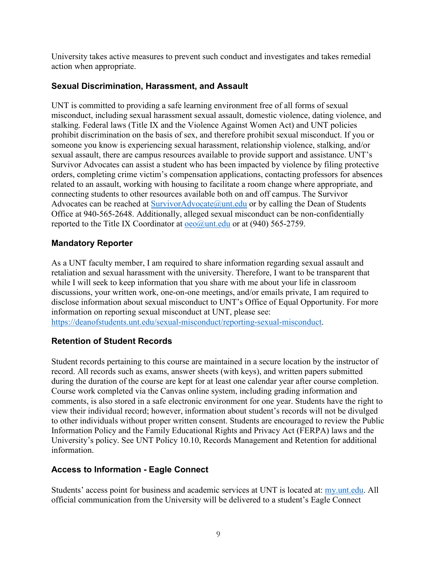University takes active measures to prevent such conduct and investigates and takes remedial action when appropriate.

### **Sexual Discrimination, Harassment, and Assault**

UNT is committed to providing a safe learning environment free of all forms of sexual misconduct, including sexual harassment sexual assault, domestic violence, dating violence, and stalking. Federal laws (Title IX and the Violence Against Women Act) and UNT policies prohibit discrimination on the basis of sex, and therefore prohibit sexual misconduct. If you or someone you know is experiencing sexual harassment, relationship violence, stalking, and/or sexual assault, there are campus resources available to provide support and assistance. UNT's Survivor Advocates can assist a student who has been impacted by violence by filing protective orders, completing crime victim's compensation applications, contacting professors for absences related to an assault, working with housing to facilitate a room change where appropriate, and connecting students to other resources available both on and off campus. The Survivor Advocates can be reached at  $\text{SurvivorAdvocate}(\hat{\omega}_{unt.edu})$  or by calling the Dean of Students Office at 940-565-2648. Additionally, alleged sexual misconduct can be non-confidentially reported to the Title IX Coordinator at  $oeo(\partial)$ unt.edu or at (940) 565-2759.

# **Mandatory Reporter**

As a UNT faculty member, I am required to share information regarding sexual assault and retaliation and sexual harassment with the university. Therefore, I want to be transparent that while I will seek to keep information that you share with me about your life in classroom discussions, your written work, one-on-one meetings, and/or emails private, I am required to disclose information about sexual misconduct to UNT's Office of Equal Opportunity. For more information on reporting sexual misconduct at UNT, please see: [https://deanofstudents.unt.edu/sexual-misconduct/reporting-sexual-misconduct.](https://deanofstudents.unt.edu/sexual-misconduct/reporting-sexual-misconduct)

# **Retention of Student Records**

Student records pertaining to this course are maintained in a secure location by the instructor of record. All records such as exams, answer sheets (with keys), and written papers submitted during the duration of the course are kept for at least one calendar year after course completion. Course work completed via the Canvas online system, including grading information and comments, is also stored in a safe electronic environment for one year. Students have the right to view their individual record; however, information about student's records will not be divulged to other individuals without proper written consent. Students are encouraged to review the Public Information Policy and the Family Educational Rights and Privacy Act (FERPA) laws and the University's policy. See UNT Policy 10.10, Records Management and Retention for additional information.

# **Access to Information - Eagle Connect**

Students' access point for business and academic services at UNT is located at: [my.unt.edu.](https://my.unt.edu/) All official communication from the University will be delivered to a student's Eagle Connect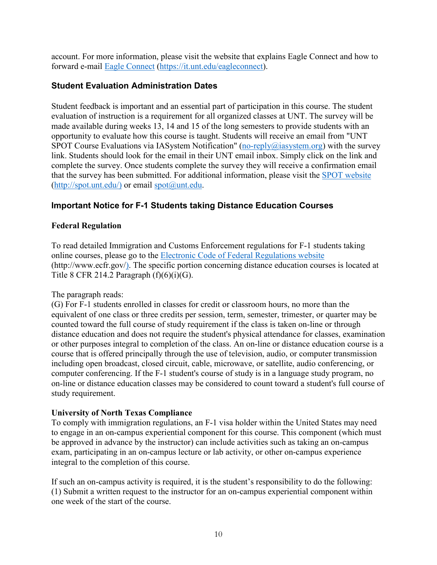account. For more information, please visit the website that explains Eagle Connect and how to forward e-mail [Eagle Connect](https://it.unt.edu/eagleconnect) [\(https://it.unt.edu/eagleconnect\)](https://it.unt.edu/eagleconnect).

### **Student Evaluation Administration Dates**

Student feedback is important and an essential part of participation in this course. The student evaluation of instruction is a requirement for all organized classes at UNT. The survey will be made available during weeks 13, 14 and 15 of the long semesters to provide students with an opportunity to evaluate how this course is taught. Students will receive an email from "UNT SPOT Course Evaluations via IAS ystem Notification" (no-reply@iasystem.org) with the survey link. Students should look for the email in their UNT email inbox. Simply click on the link and complete the survey. Once students complete the survey they will receive a confirmation email that the survey has been submitted. For additional information, please visit the [SPOT website](http://spot.unt.edu/)  $(http://spot.unt.edu/)$  or email  $spot@unt.edu.$ 

### **Important Notice for F-1 Students taking Distance Education Courses**

### **Federal Regulation**

To read detailed Immigration and Customs Enforcement regulations for F-1 students taking online courses, please go to the [Electronic Code of Federal Regulations website](http://www.ecfr.gov/) (http://www.ecfr.gov/). The specific portion concerning distance education courses is located at Title 8 CFR 214.2 Paragraph  $(f)(6)(i)(G)$ .

### The paragraph reads:

(G) For F-1 students enrolled in classes for credit or classroom hours, no more than the equivalent of one class or three credits per session, term, semester, trimester, or quarter may be counted toward the full course of study requirement if the class is taken on-line or through distance education and does not require the student's physical attendance for classes, examination or other purposes integral to completion of the class. An on-line or distance education course is a course that is offered principally through the use of television, audio, or computer transmission including open broadcast, closed circuit, cable, microwave, or satellite, audio conferencing, or computer conferencing. If the F-1 student's course of study is in a language study program, no on-line or distance education classes may be considered to count toward a student's full course of study requirement.

### **University of North Texas Compliance**

To comply with immigration regulations, an F-1 visa holder within the United States may need to engage in an on-campus experiential component for this course. This component (which must be approved in advance by the instructor) can include activities such as taking an on-campus exam, participating in an on-campus lecture or lab activity, or other on-campus experience integral to the completion of this course.

If such an on-campus activity is required, it is the student's responsibility to do the following: (1) Submit a written request to the instructor for an on-campus experiential component within one week of the start of the course.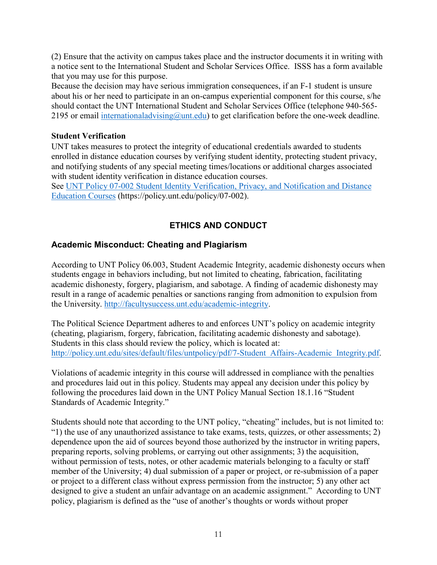(2) Ensure that the activity on campus takes place and the instructor documents it in writing with a notice sent to the International Student and Scholar Services Office. ISSS has a form available that you may use for this purpose.

Because the decision may have serious immigration consequences, if an F-1 student is unsure about his or her need to participate in an on-campus experiential component for this course, s/he should contact the UNT International Student and Scholar Services Office (telephone 940-565- 2195 or email internationaladvising  $@$  unt. edu) to get clarification before the one-week deadline.

#### **Student Verification**

UNT takes measures to protect the integrity of educational credentials awarded to students enrolled in distance education courses by verifying student identity, protecting student privacy, and notifying students of any special meeting times/locations or additional charges associated with student identity verification in distance education courses.

See [UNT Policy 07-002 Student Identity Verification, Privacy, and Notification and Distance](https://policy.unt.edu/policy/07-002)  [Education Courses](https://policy.unt.edu/policy/07-002) (https://policy.unt.edu/policy/07-002).

# **ETHICS AND CONDUCT**

# **Academic Misconduct: Cheating and Plagiarism**

According to UNT Policy 06.003, Student Academic Integrity, academic dishonesty occurs when students engage in behaviors including, but not limited to cheating, fabrication, facilitating academic dishonesty, forgery, plagiarism, and sabotage. A finding of academic dishonesty may result in a range of academic penalties or sanctions ranging from admonition to expulsion from the University. [http://facultysuccess.unt.edu/academic-integrity.](http://facultysuccess.unt.edu/academic-integrity)

The Political Science Department adheres to and enforces UNT's policy on academic integrity (cheating, plagiarism, forgery, fabrication, facilitating academic dishonesty and sabotage). Students in this class should review the policy, which is located at: [http://policy.unt.edu/sites/default/files/untpolicy/pdf/7-Student\\_Affairs-Academic\\_Integrity.pdf.](http://policy.unt.edu/sites/default/files/untpolicy/pdf/7-Student_Affairs-Academic_Integrity.pdf)

Violations of academic integrity in this course will addressed in compliance with the penalties and procedures laid out in this policy. Students may appeal any decision under this policy by following the procedures laid down in the UNT Policy Manual Section 18.1.16 "Student Standards of Academic Integrity."

Students should note that according to the UNT policy, "cheating" includes, but is not limited to: "1) the use of any unauthorized assistance to take exams, tests, quizzes, or other assessments; 2) dependence upon the aid of sources beyond those authorized by the instructor in writing papers, preparing reports, solving problems, or carrying out other assignments; 3) the acquisition, without permission of tests, notes, or other academic materials belonging to a faculty or staff member of the University; 4) dual submission of a paper or project, or re-submission of a paper or project to a different class without express permission from the instructor; 5) any other act designed to give a student an unfair advantage on an academic assignment." According to UNT policy, plagiarism is defined as the "use of another's thoughts or words without proper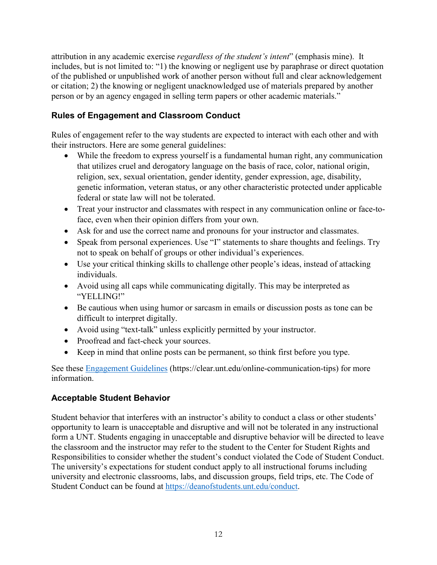attribution in any academic exercise *regardless of the student's intent*" (emphasis mine). It includes, but is not limited to: "1) the knowing or negligent use by paraphrase or direct quotation of the published or unpublished work of another person without full and clear acknowledgement or citation; 2) the knowing or negligent unacknowledged use of materials prepared by another person or by an agency engaged in selling term papers or other academic materials."

# **Rules of Engagement and Classroom Conduct**

Rules of engagement refer to the way students are expected to interact with each other and with their instructors. Here are some general guidelines:

- While the freedom to express yourself is a fundamental human right, any communication that utilizes cruel and derogatory language on the basis of race, color, national origin, religion, sex, sexual orientation, gender identity, gender expression, age, disability, genetic information, veteran status, or any other characteristic protected under applicable federal or state law will not be tolerated.
- Treat your instructor and classmates with respect in any communication online or face-toface, even when their opinion differs from your own.
- Ask for and use the correct name and pronouns for your instructor and classmates.
- Speak from personal experiences. Use "I" statements to share thoughts and feelings. Try not to speak on behalf of groups or other individual's experiences.
- Use your critical thinking skills to challenge other people's ideas, instead of attacking individuals.
- Avoid using all caps while communicating digitally. This may be interpreted as "YELLING!"
- Be cautious when using humor or sarcasm in emails or discussion posts as tone can be difficult to interpret digitally.
- Avoid using "text-talk" unless explicitly permitted by your instructor.
- Proofread and fact-check your sources.
- Keep in mind that online posts can be permanent, so think first before you type.

See these [Engagement Guidelines](https://clear.unt.edu/online-communication-tips) (https://clear.unt.edu/online-communication-tips) for more information.

# **Acceptable Student Behavior**

Student behavior that interferes with an instructor's ability to conduct a class or other students' opportunity to learn is unacceptable and disruptive and will not be tolerated in any instructional form a UNT. Students engaging in unacceptable and disruptive behavior will be directed to leave the classroom and the instructor may refer to the student to the Center for Student Rights and Responsibilities to consider whether the student's conduct violated the Code of Student Conduct. The university's expectations for student conduct apply to all instructional forums including university and electronic classrooms, labs, and discussion groups, field trips, etc. The Code of Student Conduct can be found at [https://deanofstudents.unt.edu/conduct.](https://deanofstudents.unt.edu/conduct)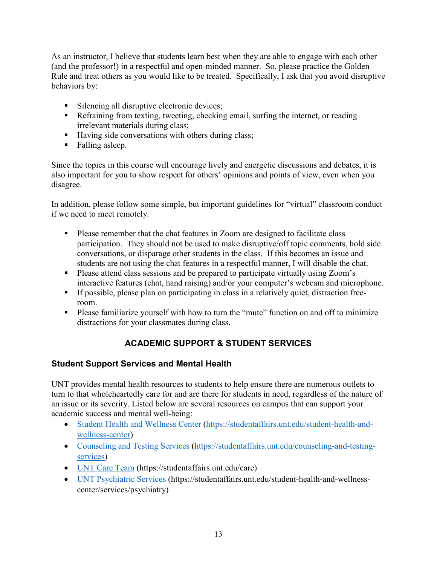As an instructor, I believe that students learn best when they are able to engage with each other (and the professor!) in a respectful and open-minded manner. So, please practice the Golden Rule and treat others as you would like to be treated. Specifically, I ask that you avoid disruptive behaviors by:

- Silencing all disruptive electronic devices;
- Refraining from texting, tweeting, checking email, surfing the internet, or reading irrelevant materials during class;
- Having side conversations with others during class;
- Falling asleep.

Since the topics in this course will encourage lively and energetic discussions and debates, it is also important for you to show respect for others' opinions and points of view, even when you disagree.

In addition, please follow some simple, but important guidelines for "virtual" classroom conduct if we need to meet remotely.

- **Please remember that the chat features in Zoom are designed to facilitate class** participation. They should not be used to make disruptive/off topic comments, hold side conversations, or disparage other students in the class. If this becomes an issue and students are not using the chat features in a respectful manner, I will disable the chat.
- Please attend class sessions and be prepared to participate virtually using Zoom's interactive features (chat, hand raising) and/or your computer's webcam and microphone.
- If possible, please plan on participating in class in a relatively quiet, distraction freeroom.
- Please familiarize yourself with how to turn the "mute" function on and off to minimize distractions for your classmates during class.

# **ACADEMIC SUPPORT & STUDENT SERVICES**

# **Student Support Services and Mental Health**

UNT provides mental health resources to students to help ensure there are numerous outlets to turn to that wholeheartedly care for and are there for students in need, regardless of the nature of an issue or its severity. Listed below are several resources on campus that can support your academic success and mental well-being:

- [Student Health and Wellness Center](https://studentaffairs.unt.edu/student-health-and-wellness-center) (https://studentaffairs.unt.edu/student-health-andwellness-center)
- [Counseling and Testing Services](https://studentaffairs.unt.edu/counseling-and-testing-services) (https://studentaffairs.unt.edu/counseling-and-testingservices)
- [UNT Care Team](https://studentaffairs.unt.edu/care) (https://studentaffairs.unt.edu/care)
- [UNT Psychiatric Services](https://studentaffairs.unt.edu/student-health-and-wellness-center/services/psychiatry) (https://studentaffairs.unt.edu/student-health-and-wellnesscenter/services/psychiatry)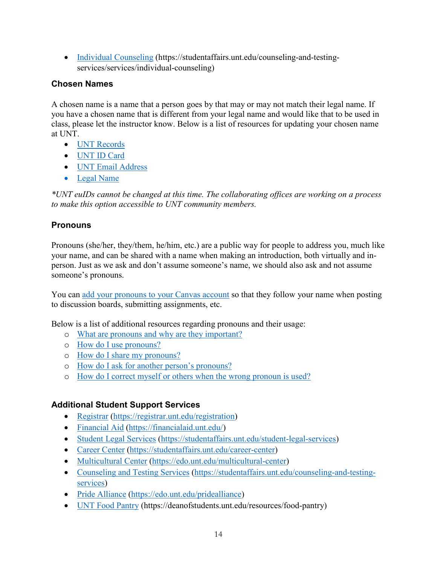• [Individual Counseling](https://studentaffairs.unt.edu/counseling-and-testing-services/services/individual-counseling) (https://studentaffairs.unt.edu/counseling-and-testingservices/services/individual-counseling)

# **Chosen Names**

A chosen name is a name that a person goes by that may or may not match their legal name. If you have a chosen name that is different from your legal name and would like that to be used in class, please let the instructor know. Below is a list of resources for updating your chosen name at UNT.

- [UNT Records](https://registrar.unt.edu/transcripts-and-records/update-your-personal-information)
- [UNT ID Card](https://sfs.unt.edu/idcards)
- [UNT Email Address](https://sso.unt.edu/idp/profile/SAML2/Redirect/SSO;jsessionid=E4DCA43DF85E3B74B3E496CAB99D8FC6?execution=e1s1)
- [Legal Name](https://studentaffairs.unt.edu/student-legal-services)

*\*UNT euIDs cannot be changed at this time. The collaborating offices are working on a process to make this option accessible to UNT community members.*

# **Pronouns**

Pronouns (she/her, they/them, he/him, etc.) are a public way for people to address you, much like your name, and can be shared with a name when making an introduction, both virtually and inperson. Just as we ask and don't assume someone's name, we should also ask and not assume someone's pronouns.

You can [add your pronouns to your Canvas account](https://community.canvaslms.com/docs/DOC-18406-42121184808) so that they follow your name when posting to discussion boards, submitting assignments, etc.

Below is a list of additional resources regarding pronouns and their usage:

- o [What are pronouns and why are they important?](https://www.mypronouns.org/what-and-why)
- o [How do I use pronouns?](https://www.mypronouns.org/how)
- o [How do I share my pronouns?](https://www.mypronouns.org/sharing)
- o [How do I ask for another person's pronouns?](https://www.mypronouns.org/asking)
- o [How do I correct myself or others when the wrong pronoun is used?](https://www.mypronouns.org/mistakes)

# **Additional Student Support Services**

- Registrar (https://registrar.unt.edu/registration)
- [Financial Aid](https://financialaid.unt.edu/) (https://financialaid.unt.edu/)
- [Student Legal Services](https://studentaffairs.unt.edu/student-legal-services) (https://studentaffairs.unt.edu/student-legal-services)
- [Career Center](https://studentaffairs.unt.edu/career-center) (https://studentaffairs.unt.edu/career-center)
- [Multicultural Center](https://edo.unt.edu/multicultural-center) (https://edo.unt.edu/multicultural-center)
- [Counseling and Testing Services](https://studentaffairs.unt.edu/counseling-and-testing-services) (https://studentaffairs.unt.edu/counseling-and-testingservices)
- [Pride Alliance](https://edo.unt.edu/pridealliance) (https://edo.unt.edu/pridealliance)
- [UNT Food Pantry](https://deanofstudents.unt.edu/resources/food-pantry) (https://deanofstudents.unt.edu/resources/food-pantry)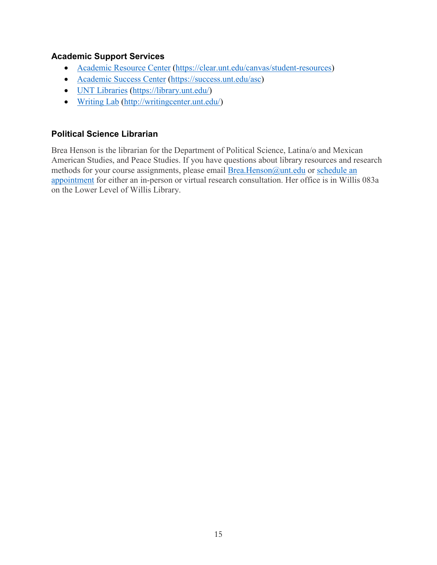# **Academic Support Services**

- [Academic Resource Center](https://clear.unt.edu/canvas/student-resources) (https://clear.unt.edu/canvas/student-resources)
- [Academic Success Center](https://success.unt.edu/asc) (https://success.unt.edu/asc)
- [UNT Libraries](https://library.unt.edu/) (https://library.unt.edu/)
- [Writing Lab](http://writingcenter.unt.edu/) [\(http://writingcenter.unt.edu/\)](http://writingcenter.unt.edu/)

# **Political Science Librarian**

Brea Henson is the librarian for the Department of Political Science, Latina/o and Mexican American Studies, and Peace Studies. If you have questions about library resources and research methods for your course assignments, please email [Brea.Henson@unt.edu](mailto:Brea.Henson@unt.edu) or [schedule an](https://library.unt.edu/people/brea-henson/)  [appointment](https://library.unt.edu/people/brea-henson/) for either an in-person or virtual research consultation. Her office is in Willis 083a on the Lower Level of Willis Library.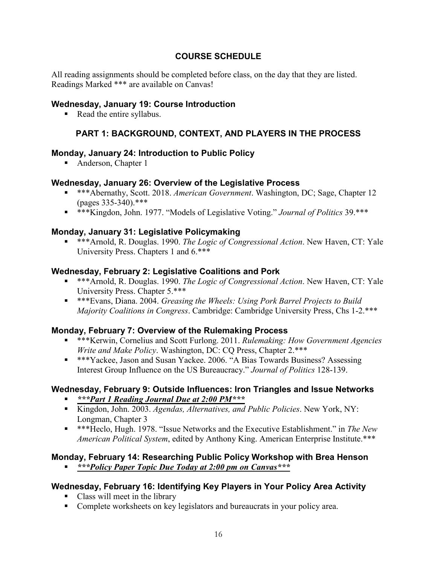# **COURSE SCHEDULE**

All reading assignments should be completed before class, on the day that they are listed. Readings Marked \*\*\* are available on Canvas!

### **Wednesday, January 19: Course Introduction**

Read the entire syllabus.

# **PART 1: BACKGROUND, CONTEXT, AND PLAYERS IN THE PROCESS**

### **Monday, January 24: Introduction to Public Policy**

■ Anderson, Chapter 1

### **Wednesday, January 26: Overview of the Legislative Process**

- \*\*\*Abernathy, Scott. 2018. *American Government*. Washington, DC; Sage, Chapter 12 (pages 335-340).\*\*\*
- \*\*\*Kingdon, John. 1977. "Models of Legislative Voting." *Journal of Politics* 39.\*\*\*

### **Monday, January 31: Legislative Policymaking**

 \*\*\*Arnold, R. Douglas. 1990. *The Logic of Congressional Action*. New Haven, CT: Yale University Press. Chapters 1 and 6.\*\*\*

### **Wednesday, February 2: Legislative Coalitions and Pork**

- \*\*\*Arnold, R. Douglas. 1990. *The Logic of Congressional Action*. New Haven, CT: Yale University Press. Chapter 5.\*\*\*
- \*\*\*Evans, Diana. 2004. *Greasing the Wheels: Using Pork Barrel Projects to Build Majority Coalitions in Congress*. Cambridge: Cambridge University Press, Chs 1-2.\*\*\*

### **Monday, February 7: Overview of the Rulemaking Process**

- \*\*\*Kerwin, Cornelius and Scott Furlong. 2011. *Rulemaking: How Government Agencies Write and Make Policy*. Washington, DC: CQ Press, Chapter 2.\*\*\*
- \*\*\*Yackee, Jason and Susan Yackee. 2006. "A Bias Towards Business? Assessing Interest Group Influence on the US Bureaucracy." *Journal of Politics* 128-139.

### **Wednesday, February 9: Outside Influences: Iron Triangles and Issue Networks**

- *\*\*\*Part 1 Reading Journal Due at 2:00 PM\*\*\**
- Kingdon, John. 2003. *Agendas, Alternatives, and Public Policies*. New York, NY: Longman, Chapter 3
- \*\*\*Heclo, Hugh. 1978. "Issue Networks and the Executive Establishment." in *The New American Political System*, edited by Anthony King. American Enterprise Institute.\*\*\*

# **Monday, February 14: Researching Public Policy Workshop with Brea Henson**

*\*\*\*Policy Paper Topic Due Today at 2:00 pm on Canvas\*\*\**

# **Wednesday, February 16: Identifying Key Players in Your Policy Area Activity**

- Class will meet in the library
- Complete worksheets on key legislators and bureaucrats in your policy area.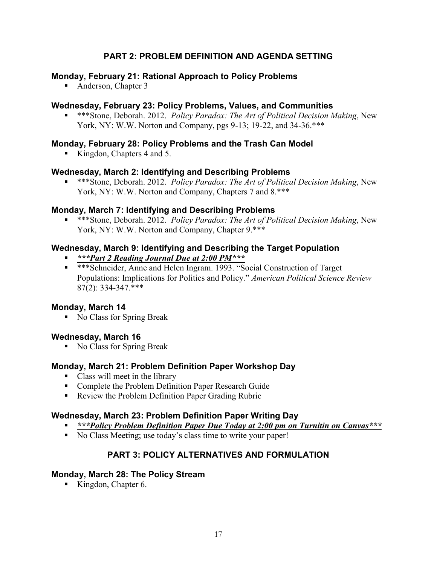# **PART 2: PROBLEM DEFINITION AND AGENDA SETTING**

### **Monday, February 21: Rational Approach to Policy Problems**

• Anderson, Chapter 3

### **Wednesday, February 23: Policy Problems, Values, and Communities**

 \*\*\*Stone, Deborah. 2012. *Policy Paradox: The Art of Political Decision Making*, New York, NY: W.W. Norton and Company, pgs 9-13; 19-22, and 34-36.\*\*\*

### **Monday, February 28: Policy Problems and the Trash Can Model**

Kingdon, Chapters 4 and 5.

### **Wednesday, March 2: Identifying and Describing Problems**

 \*\*\*Stone, Deborah. 2012. *Policy Paradox: The Art of Political Decision Making*, New York, NY: W.W. Norton and Company, Chapters 7 and  $8.***$ 

### **Monday, March 7: Identifying and Describing Problems**

 \*\*\*Stone, Deborah. 2012. *Policy Paradox: The Art of Political Decision Making*, New York, NY: W.W. Norton and Company, Chapter 9.\*\*\*

### **Wednesday, March 9: Identifying and Describing the Target Population**

- *\*\*\*Part 2 Reading Journal Due at 2:00 PM\*\*\**
- \*\*\*Schneider, Anne and Helen Ingram. 1993. "Social Construction of Target" Populations: Implications for Politics and Policy." *American Political Science Review* 87(2): 334-347.\*\*\*

### **Monday, March 14**

No Class for Spring Break

### **Wednesday, March 16**

No Class for Spring Break

### **Monday, March 21: Problem Definition Paper Workshop Day**

- Class will meet in the library
- **Complete the Problem Definition Paper Research Guide**
- Review the Problem Definition Paper Grading Rubric

### **Wednesday, March 23: Problem Definition Paper Writing Day**

- *\*\*\*Policy Problem Definition Paper Due Today at 2:00 pm on Turnitin on Canvas\*\*\**
- No Class Meeting; use today's class time to write your paper!

# **PART 3: POLICY ALTERNATIVES AND FORMULATION**

### **Monday, March 28: The Policy Stream**

Kingdon, Chapter 6.